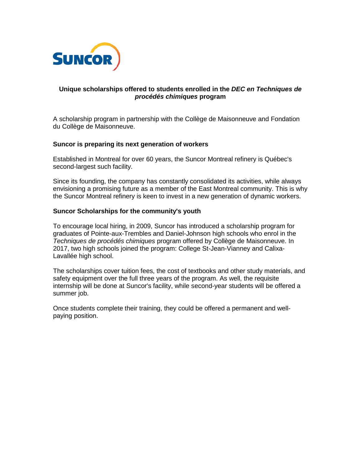

# **Unique scholarships offered to students enrolled in the** *DEC en Techniques de procédés chimiques* **program**

A scholarship program in partnership with the Collège de Maisonneuve and Fondation du Collège de Maisonneuve.

## **Suncor is preparing its next generation of workers**

Established in Montreal for over 60 years, the Suncor Montreal refinery is Québec's second-largest such facility.

Since its founding, the company has constantly consolidated its activities, while always envisioning a promising future as a member of the East Montreal community. This is why the Suncor Montreal refinery is keen to invest in a new generation of dynamic workers.

## **Suncor Scholarships for the community's youth**

To encourage local hiring, in 2009, Suncor has introduced a scholarship program for graduates of Pointe-aux-Trembles and Daniel-Johnson high schools who enrol in the *Techniques de procédés chimiques* program offered by Collège de Maisonneuve. In 2017, two high schools joined the program: College St-Jean-Vianney and Calixa-Lavallée high school.

The scholarships cover tuition fees, the cost of textbooks and other study materials, and safety equipment over the full three years of the program. As well, the requisite internship will be done at Suncor's facility, while second-year students will be offered a summer job.

Once students complete their training, they could be offered a permanent and wellpaying position.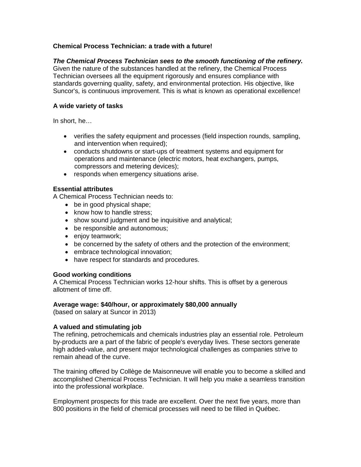# **Chemical Process Technician: a trade with a future!**

# *The Chemical Process Technician sees to the smooth functioning of the refinery.*

Given the nature of the substances handled at the refinery, the Chemical Process Technician oversees all the equipment rigorously and ensures compliance with standards governing quality, safety, and environmental protection. His objective, like Suncor's, is continuous improvement. This is what is known as operational excellence!

# **A wide variety of tasks**

In short, he…

- verifies the safety equipment and processes (field inspection rounds, sampling, and intervention when required);
- conducts shutdowns or start-ups of treatment systems and equipment for operations and maintenance (electric motors, heat exchangers, pumps, compressors and metering devices);
- responds when emergency situations arise.

## **Essential attributes**

A Chemical Process Technician needs to:

- be in good physical shape;
- know how to handle stress;
- show sound judgment and be inquisitive and analytical;
- be responsible and autonomous;
- enjoy teamwork;
- be concerned by the safety of others and the protection of the environment;
- embrace technological innovation;
- have respect for standards and procedures.

#### **Good working conditions**

A Chemical Process Technician works 12-hour shifts. This is offset by a generous allotment of time off.

#### **Average wage: \$40/hour, or approximately \$80,000 annually**

(based on salary at Suncor in 2013)

#### **A valued and stimulating job**

The refining, petrochemicals and chemicals industries play an essential role. Petroleum by-products are a part of the fabric of people's everyday lives. These sectors generate high added-value, and present major technological challenges as companies strive to remain ahead of the curve.

The training offered by Collège de Maisonneuve will enable you to become a skilled and accomplished Chemical Process Technician. It will help you make a seamless transition into the professional workplace.

Employment prospects for this trade are excellent. Over the next five years, more than 800 positions in the field of chemical processes will need to be filled in Québec.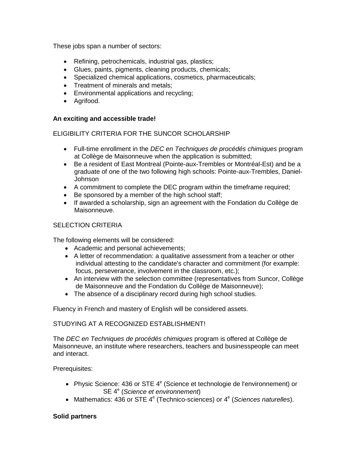These jobs span a number of sectors:

- Refining, petrochemicals, industrial gas, plastics;
- Glues, paints, pigments, cleaning products, chemicals;
- Specialized chemical applications, cosmetics, pharmaceuticals;
- Treatment of minerals and metals;
- Environmental applications and recycling;
- Agrifood.

## **An exciting and accessible trade!**

# ELIGIBILITY CRITERIA FOR THE SUNCOR SCHOLARSHIP

- Full-time enrollment in the *DEC en Techniques de procédés chimiques* program at Collège de Maisonneuve when the application is submitted;
- Be a resident of East Montreal (Pointe-aux-Trembles or Montréal-Est) and be a graduate of one of the two following high schools: Pointe-aux-Trembles, Daniel-Johnson
- A commitment to complete the DEC program within the timeframe required;
- Be sponsored by a member of the high school staff;
- If awarded a scholarship, sign an agreement with the Fondation du Collège de Maisonneuve.

# SELECTION CRITERIA

The following elements will be considered:

- Academic and personal achievements;
- A letter of recommendation: a qualitative assessment from a teacher or other individual attesting to the candidate's character and commitment (for example: focus, perseverance, involvement in the classroom, etc.);
- An interview with the selection committee (representatives from Suncor, Collège de Maisonneuve and the Fondation du Collège de Maisonneuve);
- The absence of a disciplinary record during high school studies.

Fluency in French and mastery of English will be considered assets.

# STUDYING AT A RECOGNIZED ESTABLISHMENT!

The *DEC en Techniques de procédés chimiques* program is offered at Collège de Maisonneuve, an institute where researchers, teachers and businesspeople can meet and interact.

Prerequisites:

- Physic Science: 436 or STE  $4^e$  (Science et technologie de l'environnement) or SE 4<sup>e</sup> (Science et environnement)
- Mathematics: 436 or STE 4<sup>e</sup> (Technico-sciences) or 4<sup>e</sup> (*Sciences naturelles*).

# **Solid partners**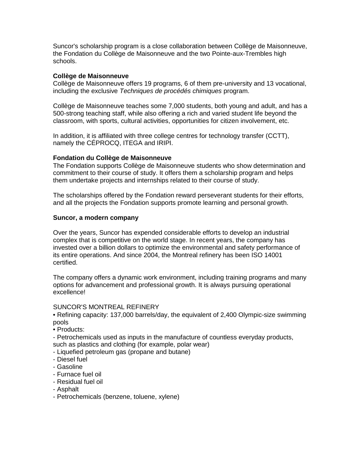Suncor's scholarship program is a close collaboration between Collège de Maisonneuve, the Fondation du Collège de Maisonneuve and the two Pointe-aux-Trembles high schools.

## **Collège de Maisonneuve**

Collège de Maisonneuve offers 19 programs, 6 of them pre-university and 13 vocational, including the exclusive *Techniques de procédés chimiques* program.

Collège de Maisonneuve teaches some 7,000 students, both young and adult, and has a 500-strong teaching staff, while also offering a rich and varied student life beyond the classroom, with sports, cultural activities, opportunities for citizen involvement, etc.

In addition, it is affiliated with three college centres for technology transfer (CCTT), namely the CÉPROCQ, ITEGA and IRIPI.

## **Fondation du Collège de Maisonneuve**

The Fondation supports Collège de Maisonneuve students who show determination and commitment to their course of study. It offers them a scholarship program and helps them undertake projects and internships related to their course of study.

The scholarships offered by the Fondation reward perseverant students for their efforts, and all the projects the Fondation supports promote learning and personal growth.

#### **Suncor, a modern company**

Over the years, Suncor has expended considerable efforts to develop an industrial complex that is competitive on the world stage. In recent years, the company has invested over a billion dollars to optimize the environmental and safety performance of its entire operations. And since 2004, the Montreal refinery has been ISO 14001 certified.

The company offers a dynamic work environment, including training programs and many options for advancement and professional growth. It is always pursuing operational excellence!

#### SUNCOR'S MONTREAL REFINERY

• Refining capacity: 137,000 barrels/day, the equivalent of 2,400 Olympic-size swimming pools

• Products:

- Petrochemicals used as inputs in the manufacture of countless everyday products, such as plastics and clothing (for example, polar wear)

- Liquefied petroleum gas (propane and butane)
- Diesel fuel
- Gasoline
- Furnace fuel oil
- Residual fuel oil
- Asphalt
- Petrochemicals (benzene, toluene, xylene)